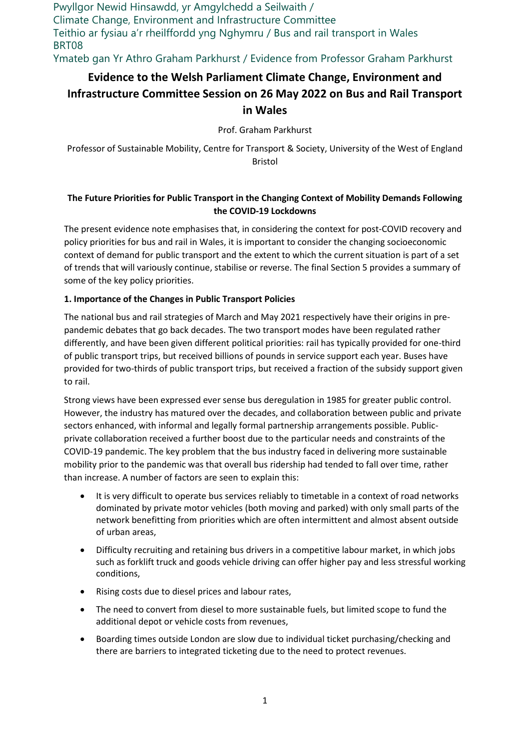Pwyllgor Newid Hinsawdd, yr Amgylchedd a Seilwaith / Climate Change, Environment and Infrastructure Committee Teithio ar fysiau a'r rheilffordd yng Nghymru / Bus and rail transport in Wales BRT08 Ymateb gan Yr Athro Graham Parkhurst / Evidence from Professor Graham Parkhurst

# **Evidence to the Welsh Parliament Climate Change, Environment and Infrastructure Committee Session on 26 May 2022 on Bus and Rail Transport in Wales**

Prof. Graham Parkhurst

Professor of Sustainable Mobility, Centre for Transport & Society, University of the West of England Bristol

# **The Future Priorities for Public Transport in the Changing Context of Mobility Demands Following the COVID-19 Lockdowns**

The present evidence note emphasises that, in considering the context for post-COVID recovery and policy priorities for bus and rail in Wales, it is important to consider the changing socioeconomic context of demand for public transport and the extent to which the current situation is part of a set of trends that will variously continue, stabilise or reverse. The final Section 5 provides a summary of some of the key policy priorities.

## **1. Importance of the Changes in Public Transport Policies**

The national bus and rail strategies of March and May 2021 respectively have their origins in prepandemic debates that go back decades. The two transport modes have been regulated rather differently, and have been given different political priorities: rail has typically provided for one-third of public transport trips, but received billions of pounds in service support each year. Buses have provided for two-thirds of public transport trips, but received a fraction of the subsidy support given to rail.

Strong views have been expressed ever sense bus deregulation in 1985 for greater public control. However, the industry has matured over the decades, and collaboration between public and private sectors enhanced, with informal and legally formal partnership arrangements possible. Publicprivate collaboration received a further boost due to the particular needs and constraints of the COVID-19 pandemic. The key problem that the bus industry faced in delivering more sustainable mobility prior to the pandemic was that overall bus ridership had tended to fall over time, rather than increase. A number of factors are seen to explain this:

- It is very difficult to operate bus services reliably to timetable in a context of road networks dominated by private motor vehicles (both moving and parked) with only small parts of the network benefitting from priorities which are often intermittent and almost absent outside of urban areas,
- Difficulty recruiting and retaining bus drivers in a competitive labour market, in which jobs such as forklift truck and goods vehicle driving can offer higher pay and less stressful working conditions,
- Rising costs due to diesel prices and labour rates,
- The need to convert from diesel to more sustainable fuels, but limited scope to fund the additional depot or vehicle costs from revenues,
- Boarding times outside London are slow due to individual ticket purchasing/checking and there are barriers to integrated ticketing due to the need to protect revenues.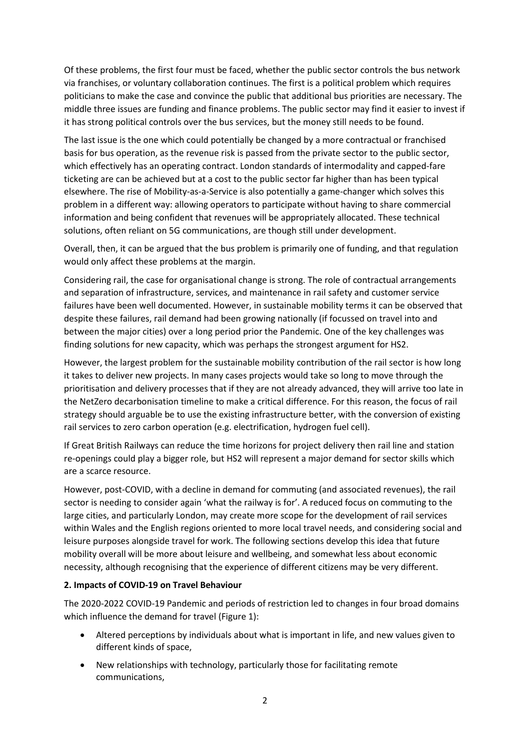Of these problems, the first four must be faced, whether the public sector controls the bus network via franchises, or voluntary collaboration continues. The first is a political problem which requires politicians to make the case and convince the public that additional bus priorities are necessary. The middle three issues are funding and finance problems. The public sector may find it easier to invest if it has strong political controls over the bus services, but the money still needs to be found.

The last issue is the one which could potentially be changed by a more contractual or franchised basis for bus operation, as the revenue risk is passed from the private sector to the public sector, which effectively has an operating contract. London standards of intermodality and capped-fare ticketing are can be achieved but at a cost to the public sector far higher than has been typical elsewhere. The rise of Mobility-as-a-Service is also potentially a game-changer which solves this problem in a different way: allowing operators to participate without having to share commercial information and being confident that revenues will be appropriately allocated. These technical solutions, often reliant on 5G communications, are though still under development.

Overall, then, it can be argued that the bus problem is primarily one of funding, and that regulation would only affect these problems at the margin.

Considering rail, the case for organisational change is strong. The role of contractual arrangements and separation of infrastructure, services, and maintenance in rail safety and customer service failures have been well documented. However, in sustainable mobility terms it can be observed that despite these failures, rail demand had been growing nationally (if focussed on travel into and between the major cities) over a long period prior the Pandemic. One of the key challenges was finding solutions for new capacity, which was perhaps the strongest argument for HS2.

However, the largest problem for the sustainable mobility contribution of the rail sector is how long it takes to deliver new projects. In many cases projects would take so long to move through the prioritisation and delivery processes that if they are not already advanced, they will arrive too late in the NetZero decarbonisation timeline to make a critical difference. For this reason, the focus of rail strategy should arguable be to use the existing infrastructure better, with the conversion of existing rail services to zero carbon operation (e.g. electrification, hydrogen fuel cell).

If Great British Railways can reduce the time horizons for project delivery then rail line and station re-openings could play a bigger role, but HS2 will represent a major demand for sector skills which are a scarce resource.

However, post-COVID, with a decline in demand for commuting (and associated revenues), the rail sector is needing to consider again 'what the railway is for'. A reduced focus on commuting to the large cities, and particularly London, may create more scope for the development of rail services within Wales and the English regions oriented to more local travel needs, and considering social and leisure purposes alongside travel for work. The following sections develop this idea that future mobility overall will be more about leisure and wellbeing, and somewhat less about economic necessity, although recognising that the experience of different citizens may be very different.

#### **2. Impacts of COVID-19 on Travel Behaviour**

The 2020-2022 COVID-19 Pandemic and periods of restriction led to changes in four broad domains which influence the demand for travel (Figure 1):

- Altered perceptions by individuals about what is important in life, and new values given to different kinds of space,
- New relationships with technology, particularly those for facilitating remote communications,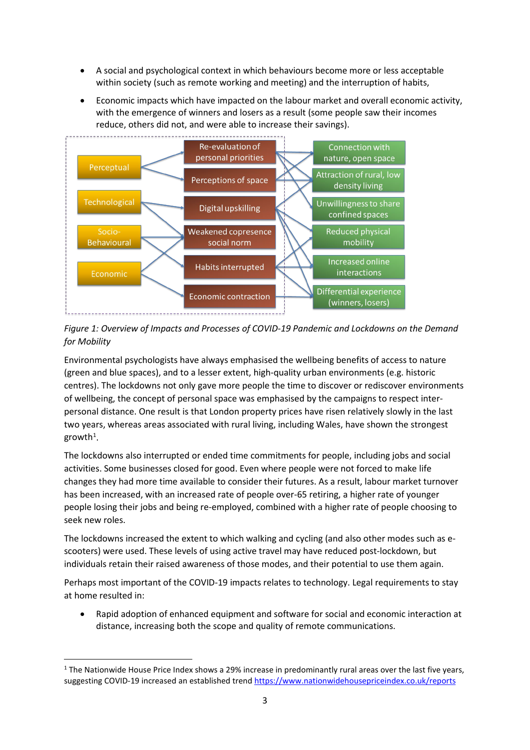- A social and psychological context in which behaviours become more or less acceptable within society (such as remote working and meeting) and the interruption of habits,
- Economic impacts which have impacted on the labour market and overall economic activity, with the emergence of winners and losers as a result (some people saw their incomes reduce, others did not, and were able to increase their savings).



*Figure 1: Overview of Impacts and Processes of COVID-19 Pandemic and Lockdowns on the Demand for Mobility*

Environmental psychologists have always emphasised the wellbeing benefits of access to nature (green and blue spaces), and to a lesser extent, high-quality urban environments (e.g. historic centres). The lockdowns not only gave more people the time to discover or rediscover environments of wellbeing, the concept of personal space was emphasised by the campaigns to respect interpersonal distance. One result is that London property prices have risen relatively slowly in the last two years, whereas areas associated with rural living, including Wales, have shown the strongest growth $^1$  $^1$ .

The lockdowns also interrupted or ended time commitments for people, including jobs and social activities. Some businesses closed for good. Even where people were not forced to make life changes they had more time available to consider their futures. As a result, labour market turnover has been increased, with an increased rate of people over-65 retiring, a higher rate of younger people losing their jobs and being re-employed, combined with a higher rate of people choosing to seek new roles.

The lockdowns increased the extent to which walking and cycling (and also other modes such as escooters) were used. These levels of using active travel may have reduced post-lockdown, but individuals retain their raised awareness of those modes, and their potential to use them again.

Perhaps most important of the COVID-19 impacts relates to technology. Legal requirements to stay at home resulted in:

• Rapid adoption of enhanced equipment and software for social and economic interaction at distance, increasing both the scope and quality of remote communications.

**.** 

<span id="page-2-0"></span><sup>&</sup>lt;sup>1</sup> The Nationwide House Price Index shows a 29% increase in predominantly rural areas over the last five years, suggesting COVID-19 increased an established trend<https://www.nationwidehousepriceindex.co.uk/reports>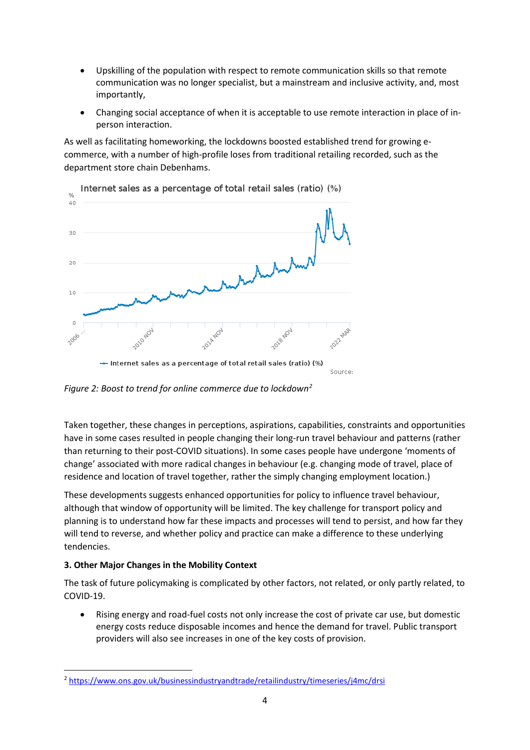- Upskilling of the population with respect to remote communication skills so that remote communication was no longer specialist, but a mainstream and inclusive activity, and, most importantly,
- Changing social acceptance of when it is acceptable to use remote interaction in place of inperson interaction.

As well as facilitating homeworking, the lockdowns boosted established trend for growing ecommerce, with a number of high-profile loses from traditional retailing recorded, such as the department store chain Debenhams.



*Figure 2: Boost to trend for online commerce due to lockdown[2](#page-3-0)*

Taken together, these changes in perceptions, aspirations, capabilities, constraints and opportunities have in some cases resulted in people changing their long-run travel behaviour and patterns (rather than returning to their post-COVID situations). In some cases people have undergone 'moments of change' associated with more radical changes in behaviour (e.g. changing mode of travel, place of residence and location of travel together, rather the simply changing employment location.)

These developments suggests enhanced opportunities for policy to influence travel behaviour, although that window of opportunity will be limited. The key challenge for transport policy and planning is to understand how far these impacts and processes will tend to persist, and how far they will tend to reverse, and whether policy and practice can make a difference to these underlying tendencies.

## **3. Other Major Changes in the Mobility Context**

 $\overline{a}$ 

The task of future policymaking is complicated by other factors, not related, or only partly related, to COVID-19.

• Rising energy and road-fuel costs not only increase the cost of private car use, but domestic energy costs reduce disposable incomes and hence the demand for travel. Public transport providers will also see increases in one of the key costs of provision.

<span id="page-3-0"></span><sup>2</sup> <https://www.ons.gov.uk/businessindustryandtrade/retailindustry/timeseries/j4mc/drsi>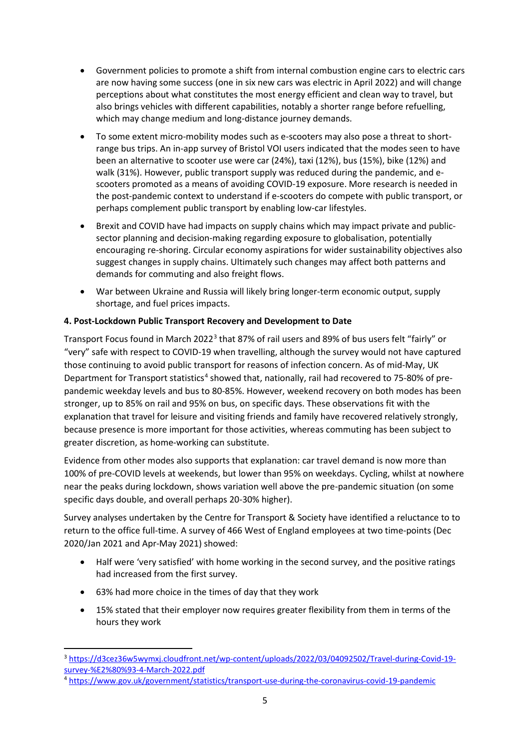- Government policies to promote a shift from internal combustion engine cars to electric cars are now having some success (one in six new cars was electric in April 2022) and will change perceptions about what constitutes the most energy efficient and clean way to travel, but also brings vehicles with different capabilities, notably a shorter range before refuelling, which may change medium and long-distance journey demands.
- To some extent micro-mobility modes such as e-scooters may also pose a threat to shortrange bus trips. An in-app survey of Bristol VOI users indicated that the modes seen to have been an alternative to scooter use were car (24%), taxi (12%), bus (15%), bike (12%) and walk (31%). However, public transport supply was reduced during the pandemic, and escooters promoted as a means of avoiding COVID-19 exposure. More research is needed in the post-pandemic context to understand if e-scooters do compete with public transport, or perhaps complement public transport by enabling low-car lifestyles.
- Brexit and COVID have had impacts on supply chains which may impact private and publicsector planning and decision-making regarding exposure to globalisation, potentially encouraging re-shoring. Circular economy aspirations for wider sustainability objectives also suggest changes in supply chains. Ultimately such changes may affect both patterns and demands for commuting and also freight flows.
- War between Ukraine and Russia will likely bring longer-term economic output, supply shortage, and fuel prices impacts.

## **4. Post-Lockdown Public Transport Recovery and Development to Date**

Transport Focus found in March 2022[3](#page-4-0) that 87% of rail users and 89% of bus users felt "fairly" or "very" safe with respect to COVID-19 when travelling, although the survey would not have captured those continuing to avoid public transport for reasons of infection concern. As of mid-May, UK Department for Transport statistics<sup>[4](#page-4-1)</sup> showed that, nationally, rail had recovered to 75-80% of prepandemic weekday levels and bus to 80-85%. However, weekend recovery on both modes has been stronger, up to 85% on rail and 95% on bus, on specific days. These observations fit with the explanation that travel for leisure and visiting friends and family have recovered relatively strongly, because presence is more important for those activities, whereas commuting has been subject to greater discretion, as home-working can substitute.

Evidence from other modes also supports that explanation: car travel demand is now more than 100% of pre-COVID levels at weekends, but lower than 95% on weekdays. Cycling, whilst at nowhere near the peaks during lockdown, shows variation well above the pre-pandemic situation (on some specific days double, and overall perhaps 20-30% higher).

Survey analyses undertaken by the Centre for Transport & Society have identified a reluctance to to return to the office full-time. A survey of 466 West of England employees at two time-points (Dec 2020/Jan 2021 and Apr-May 2021) showed:

- Half were 'very satisfied' with home working in the second survey, and the positive ratings had increased from the first survey.
- 63% had more choice in the times of day that they work

 $\overline{a}$ 

• 15% stated that their employer now requires greater flexibility from them in terms of the hours they work

<span id="page-4-0"></span><sup>3</sup> [https://d3cez36w5wymxj.cloudfront.net/wp-content/uploads/2022/03/04092502/Travel-during-Covid-19](https://d3cez36w5wymxj.cloudfront.net/wp-content/uploads/2022/03/04092502/Travel-during-Covid-19-survey-%E2%80%93-4-March-2022.pdf) [survey-%E2%80%93-4-March-2022.pdf](https://d3cez36w5wymxj.cloudfront.net/wp-content/uploads/2022/03/04092502/Travel-during-Covid-19-survey-%E2%80%93-4-March-2022.pdf) 4 <https://www.gov.uk/government/statistics/transport-use-during-the-coronavirus-covid-19-pandemic>

<span id="page-4-1"></span>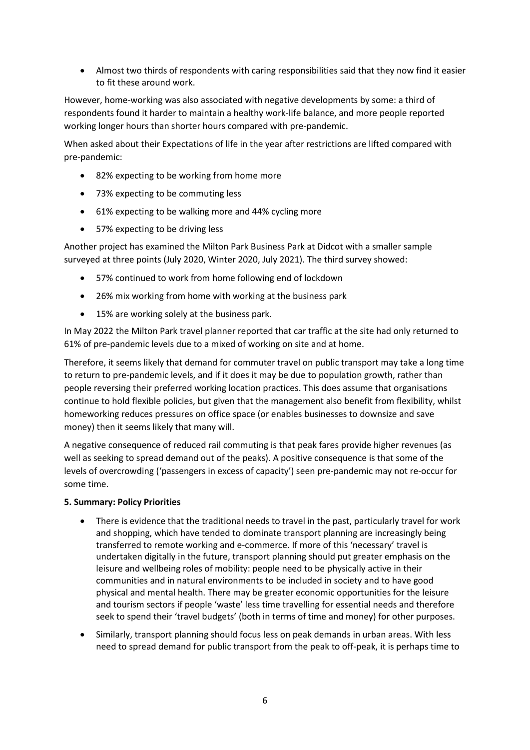• Almost two thirds of respondents with caring responsibilities said that they now find it easier to fit these around work.

However, home-working was also associated with negative developments by some: a third of respondents found it harder to maintain a healthy work-life balance, and more people reported working longer hours than shorter hours compared with pre-pandemic.

When asked about their Expectations of life in the year after restrictions are lifted compared with pre-pandemic:

- 82% expecting to be working from home more
- 73% expecting to be commuting less
- 61% expecting to be walking more and 44% cycling more
- 57% expecting to be driving less

Another project has examined the Milton Park Business Park at Didcot with a smaller sample surveyed at three points (July 2020, Winter 2020, July 2021). The third survey showed:

- 57% continued to work from home following end of lockdown
- 26% mix working from home with working at the business park
- 15% are working solely at the business park.

In May 2022 the Milton Park travel planner reported that car traffic at the site had only returned to 61% of pre-pandemic levels due to a mixed of working on site and at home.

Therefore, it seems likely that demand for commuter travel on public transport may take a long time to return to pre-pandemic levels, and if it does it may be due to population growth, rather than people reversing their preferred working location practices. This does assume that organisations continue to hold flexible policies, but given that the management also benefit from flexibility, whilst homeworking reduces pressures on office space (or enables businesses to downsize and save money) then it seems likely that many will.

A negative consequence of reduced rail commuting is that peak fares provide higher revenues (as well as seeking to spread demand out of the peaks). A positive consequence is that some of the levels of overcrowding ('passengers in excess of capacity') seen pre-pandemic may not re-occur for some time.

#### **5. Summary: Policy Priorities**

- There is evidence that the traditional needs to travel in the past, particularly travel for work and shopping, which have tended to dominate transport planning are increasingly being transferred to remote working and e-commerce. If more of this 'necessary' travel is undertaken digitally in the future, transport planning should put greater emphasis on the leisure and wellbeing roles of mobility: people need to be physically active in their communities and in natural environments to be included in society and to have good physical and mental health. There may be greater economic opportunities for the leisure and tourism sectors if people 'waste' less time travelling for essential needs and therefore seek to spend their 'travel budgets' (both in terms of time and money) for other purposes.
- Similarly, transport planning should focus less on peak demands in urban areas. With less need to spread demand for public transport from the peak to off-peak, it is perhaps time to